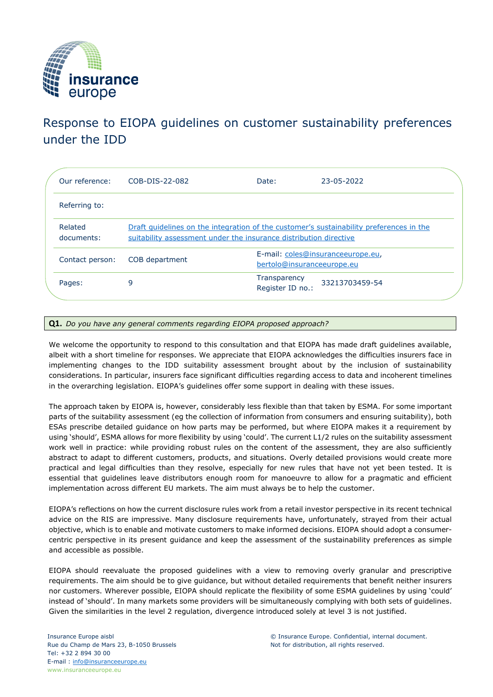

## Response to EIOPA guidelines on customer sustainability preferences under the IDD

| Our reference:        | COB-DIS-22-082                                                                                                                                               | Date:                            | 23-05-2022                        |  |
|-----------------------|--------------------------------------------------------------------------------------------------------------------------------------------------------------|----------------------------------|-----------------------------------|--|
| Referring to:         |                                                                                                                                                              |                                  |                                   |  |
| Related<br>documents: | Draft quidelines on the integration of the customer's sustainability preferences in the<br>suitability assessment under the insurance distribution directive |                                  |                                   |  |
| Contact person:       | COB department                                                                                                                                               | bertolo@insuranceeurope.eu       | E-mail: coles@insuranceeurope.eu, |  |
| Pages:                | 9                                                                                                                                                            | Transparency<br>Register ID no.: | 33213703459-54                    |  |

## **Q1.** *Do you have any general comments regarding EIOPA proposed approach?*

We welcome the opportunity to respond to this consultation and that EIOPA has made draft guidelines available, albeit with a short timeline for responses. We appreciate that EIOPA acknowledges the difficulties insurers face in implementing changes to the IDD suitability assessment brought about by the inclusion of sustainability considerations. In particular, insurers face significant difficulties regarding access to data and incoherent timelines in the overarching legislation. EIOPA's guidelines offer some support in dealing with these issues.

The approach taken by EIOPA is, however, considerably less flexible than that taken by ESMA. For some important parts of the suitability assessment (eg the collection of information from consumers and ensuring suitability), both ESAs prescribe detailed guidance on how parts may be performed, but where EIOPA makes it a requirement by using 'should', ESMA allows for more flexibility by using 'could'. The current L1/2 rules on the suitability assessment work well in practice: while providing robust rules on the content of the assessment, they are also sufficiently abstract to adapt to different customers, products, and situations. Overly detailed provisions would create more practical and legal difficulties than they resolve, especially for new rules that have not yet been tested. It is essential that guidelines leave distributors enough room for manoeuvre to allow for a pragmatic and efficient implementation across different EU markets. The aim must always be to help the customer.

EIOPA's reflections on how the current disclosure rules work from a retail investor perspective in its recent technical advice on the RIS are impressive. Many disclosure requirements have, unfortunately, strayed from their actual objective, which is to enable and motivate customers to make informed decisions. EIOPA should adopt a consumercentric perspective in its present guidance and keep the assessment of the sustainability preferences as simple and accessible as possible.

EIOPA should reevaluate the proposed guidelines with a view to removing overly granular and prescriptive requirements. The aim should be to give guidance, but without detailed requirements that benefit neither insurers nor customers. Wherever possible, EIOPA should replicate the flexibility of some ESMA guidelines by using 'could' instead of 'should'. In many markets some providers will be simultaneously complying with both sets of guidelines. Given the similarities in the level 2 regulation, divergence introduced solely at level 3 is not justified.

© Insurance Europe. Confidential, internal document. Not for distribution, all rights reserved.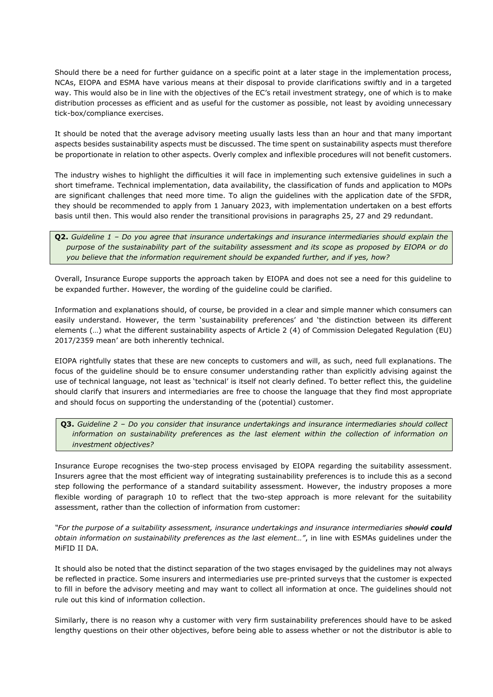Should there be a need for further guidance on a specific point at a later stage in the implementation process, NCAs, EIOPA and ESMA have various means at their disposal to provide clarifications swiftly and in a targeted way. This would also be in line with the objectives of the EC's retail investment strategy, one of which is to make distribution processes as efficient and as useful for the customer as possible, not least by avoiding unnecessary tick-box/compliance exercises.

It should be noted that the average advisory meeting usually lasts less than an hour and that many important aspects besides sustainability aspects must be discussed. The time spent on sustainability aspects must therefore be proportionate in relation to other aspects. Overly complex and inflexible procedures will not benefit customers.

The industry wishes to highlight the difficulties it will face in implementing such extensive guidelines in such a short timeframe. Technical implementation, data availability, the classification of funds and application to MOPs are significant challenges that need more time. To align the guidelines with the application date of the SFDR, they should be recommended to apply from 1 January 2023, with implementation undertaken on a best efforts basis until then. This would also render the transitional provisions in paragraphs 25, 27 and 29 redundant.

**Q2.** *Guideline 1 – Do you agree that insurance undertakings and insurance intermediaries should explain the purpose of the sustainability part of the suitability assessment and its scope as proposed by EIOPA or do you believe that the information requirement should be expanded further, and if yes, how?*

Overall, Insurance Europe supports the approach taken by EIOPA and does not see a need for this guideline to be expanded further. However, the wording of the guideline could be clarified.

Information and explanations should, of course, be provided in a clear and simple manner which consumers can easily understand. However, the term 'sustainability preferences' and 'the distinction between its different elements (…) what the different sustainability aspects of Article 2 (4) of Commission Delegated Regulation (EU) 2017/2359 mean' are both inherently technical.

EIOPA rightfully states that these are new concepts to customers and will, as such, need full explanations. The focus of the guideline should be to ensure consumer understanding rather than explicitly advising against the use of technical language, not least as 'technical' is itself not clearly defined. To better reflect this, the guideline should clarify that insurers and intermediaries are free to choose the language that they find most appropriate and should focus on supporting the understanding of the (potential) customer.

**Q3.** *Guideline 2 – Do you consider that insurance undertakings and insurance intermediaries should collect information on sustainability preferences as the last element within the collection of information on investment objectives?*

Insurance Europe recognises the two-step process envisaged by EIOPA regarding the suitability assessment. Insurers agree that the most efficient way of integrating sustainability preferences is to include this as a second step following the performance of a standard suitability assessment. However, the industry proposes a more flexible wording of paragraph 10 to reflect that the two-step approach is more relevant for the suitability assessment, rather than the collection of information from customer:

"For the purpose of a suitability assessment, insurance undertakings and insurance intermediaries should could *obtain information on sustainability preferences as the last element…"*, in line with ESMAs guidelines under the MiFID II DA.

It should also be noted that the distinct separation of the two stages envisaged by the guidelines may not always be reflected in practice. Some insurers and intermediaries use pre-printed surveys that the customer is expected to fill in before the advisory meeting and may want to collect all information at once. The guidelines should not rule out this kind of information collection.

Similarly, there is no reason why a customer with very firm sustainability preferences should have to be asked lengthy questions on their other objectives, before being able to assess whether or not the distributor is able to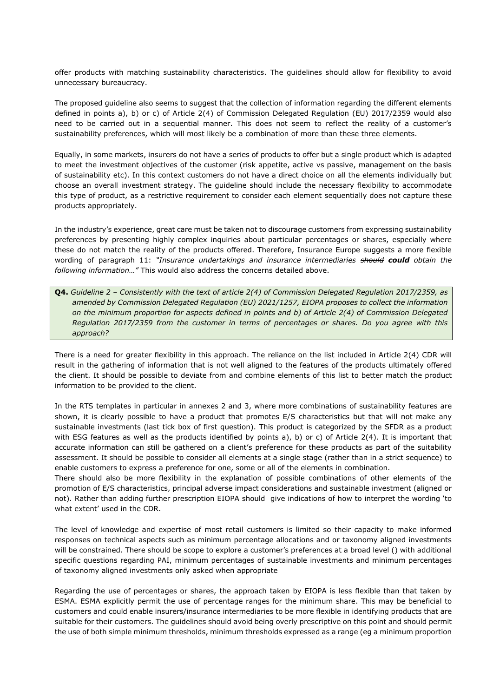offer products with matching sustainability characteristics. The guidelines should allow for flexibility to avoid unnecessary bureaucracy.

The proposed guideline also seems to suggest that the collection of information regarding the different elements defined in points a), b) or c) of Article 2(4) of Commission Delegated Regulation (EU) 2017/2359 would also need to be carried out in a sequential manner. This does not seem to reflect the reality of a customer's sustainability preferences, which will most likely be a combination of more than these three elements.

Equally, in some markets, insurers do not have a series of products to offer but a single product which is adapted to meet the investment objectives of the customer (risk appetite, active vs passive, management on the basis of sustainability etc). In this context customers do not have a direct choice on all the elements individually but choose an overall investment strategy. The guideline should include the necessary flexibility to accommodate this type of product, as a restrictive requirement to consider each element sequentially does not capture these products appropriately.

In the industry's experience, great care must be taken not to discourage customers from expressing sustainability preferences by presenting highly complex inquiries about particular percentages or shares, especially where these do not match the reality of the products offered. Therefore, Insurance Europe suggests a more flexible wording of paragraph 11: *"Insurance undertakings and insurance intermediaries should could obtain the following information…"* This would also address the concerns detailed above.

**Q4.** *Guideline 2 – Consistently with the text of article 2(4) of Commission Delegated Regulation 2017/2359, as amended by Commission Delegated Regulation (EU) 2021/1257, EIOPA proposes to collect the information on the minimum proportion for aspects defined in points and b) of Article 2(4) of Commission Delegated Regulation 2017/2359 from the customer in terms of percentages or shares. Do you agree with this approach?*

There is a need for greater flexibility in this approach. The reliance on the list included in Article 2(4) CDR will result in the gathering of information that is not well aligned to the features of the products ultimately offered the client. It should be possible to deviate from and combine elements of this list to better match the product information to be provided to the client.

In the RTS templates in particular in annexes 2 and 3, where more combinations of sustainability features are shown, it is clearly possible to have a product that promotes E/S characteristics but that will not make any sustainable investments (last tick box of first question). This product is categorized by the SFDR as a product with ESG features as well as the products identified by points a), b) or c) of Article 2(4). It is important that accurate information can still be gathered on a client's preference for these products as part of the suitability assessment. It should be possible to consider all elements at a single stage (rather than in a strict sequence) to enable customers to express a preference for one, some or all of the elements in combination.

There should also be more flexibility in the explanation of possible combinations of other elements of the promotion of E/S characteristics, principal adverse impact considerations and sustainable investment (aligned or not). Rather than adding further prescription EIOPA should give indications of how to interpret the wording 'to what extent' used in the CDR.

The level of knowledge and expertise of most retail customers is limited so their capacity to make informed responses on technical aspects such as minimum percentage allocations and or taxonomy aligned investments will be constrained. There should be scope to explore a customer's preferences at a broad level () with additional specific questions regarding PAI, minimum percentages of sustainable investments and minimum percentages of taxonomy aligned investments only asked when appropriate

Regarding the use of percentages or shares, the approach taken by EIOPA is less flexible than that taken by ESMA. ESMA explicitly permit the use of percentage ranges for the minimum share. This may be beneficial to customers and could enable insurers/insurance intermediaries to be more flexible in identifying products that are suitable for their customers. The guidelines should avoid being overly prescriptive on this point and should permit the use of both simple minimum thresholds, minimum thresholds expressed as a range (eg a minimum proportion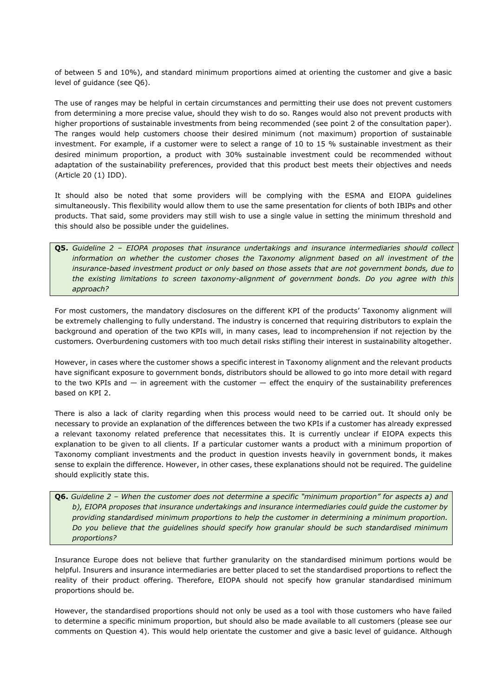of between 5 and 10%), and standard minimum proportions aimed at orienting the customer and give a basic level of guidance (see Q6).

The use of ranges may be helpful in certain circumstances and permitting their use does not prevent customers from determining a more precise value, should they wish to do so. Ranges would also not prevent products with higher proportions of sustainable investments from being recommended (see point 2 of the consultation paper). The ranges would help customers choose their desired minimum (not maximum) proportion of sustainable investment. For example, if a customer were to select a range of 10 to 15 % sustainable investment as their desired minimum proportion, a product with 30% sustainable investment could be recommended without adaptation of the sustainability preferences, provided that this product best meets their objectives and needs (Article 20 (1) IDD).

It should also be noted that some providers will be complying with the ESMA and EIOPA guidelines simultaneously. This flexibility would allow them to use the same presentation for clients of both IBIPs and other products. That said, some providers may still wish to use a single value in setting the minimum threshold and this should also be possible under the guidelines.

**Q5.** *Guideline 2 – EIOPA proposes that insurance undertakings and insurance intermediaries should collect information on whether the customer choses the Taxonomy alignment based on all investment of the insurance-based investment product or only based on those assets that are not government bonds, due to the existing limitations to screen taxonomy-alignment of government bonds. Do you agree with this approach?*

For most customers, the mandatory disclosures on the different KPI of the products' Taxonomy alignment will be extremely challenging to fully understand. The industry is concerned that requiring distributors to explain the background and operation of the two KPIs will, in many cases, lead to incomprehension if not rejection by the customers. Overburdening customers with too much detail risks stifling their interest in sustainability altogether.

However, in cases where the customer shows a specific interest in Taxonomy alignment and the relevant products have significant exposure to government bonds, distributors should be allowed to go into more detail with regard to the two KPIs and — in agreement with the customer — effect the enquiry of the sustainability preferences based on KPI 2.

There is also a lack of clarity regarding when this process would need to be carried out. It should only be necessary to provide an explanation of the differences between the two KPIs if a customer has already expressed a relevant taxonomy related preference that necessitates this. It is currently unclear if EIOPA expects this explanation to be given to all clients. If a particular customer wants a product with a minimum proportion of Taxonomy compliant investments and the product in question invests heavily in government bonds, it makes sense to explain the difference. However, in other cases, these explanations should not be required. The guideline should explicitly state this.

**Q6.** *Guideline 2 – When the customer does not determine a specific "minimum proportion" for aspects a) and b), EIOPA proposes that insurance undertakings and insurance intermediaries could guide the customer by providing standardised minimum proportions to help the customer in determining a minimum proportion. Do you believe that the guidelines should specify how granular should be such standardised minimum proportions?*

Insurance Europe does not believe that further granularity on the standardised minimum portions would be helpful. Insurers and insurance intermediaries are better placed to set the standardised proportions to reflect the reality of their product offering. Therefore, EIOPA should not specify how granular standardised minimum proportions should be.

However, the standardised proportions should not only be used as a tool with those customers who have failed to determine a specific minimum proportion, but should also be made available to all customers (please see our comments on Question 4). This would help orientate the customer and give a basic level of guidance. Although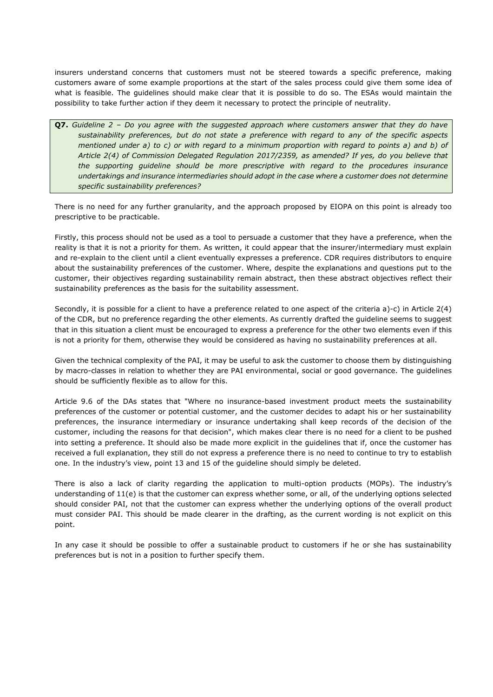insurers understand concerns that customers must not be steered towards a specific preference, making customers aware of some example proportions at the start of the sales process could give them some idea of what is feasible. The guidelines should make clear that it is possible to do so. The ESAs would maintain the possibility to take further action if they deem it necessary to protect the principle of neutrality.

**Q7.** *Guideline 2 – Do you agree with the suggested approach where customers answer that they do have sustainability preferences, but do not state a preference with regard to any of the specific aspects mentioned under a) to c) or with regard to a minimum proportion with regard to points a) and b) of Article 2(4) of Commission Delegated Regulation 2017/2359, as amended? If yes, do you believe that the supporting guideline should be more prescriptive with regard to the procedures insurance undertakings and insurance intermediaries should adopt in the case where a customer does not determine specific sustainability preferences?*

There is no need for any further granularity, and the approach proposed by EIOPA on this point is already too prescriptive to be practicable.

Firstly, this process should not be used as a tool to persuade a customer that they have a preference, when the reality is that it is not a priority for them. As written, it could appear that the insurer/intermediary must explain and re-explain to the client until a client eventually expresses a preference. CDR requires distributors to enquire about the sustainability preferences of the customer. Where, despite the explanations and questions put to the customer, their objectives regarding sustainability remain abstract, then these abstract objectives reflect their sustainability preferences as the basis for the suitability assessment.

Secondly, it is possible for a client to have a preference related to one aspect of the criteria a)-c) in Article 2(4) of the CDR, but no preference regarding the other elements. As currently drafted the guideline seems to suggest that in this situation a client must be encouraged to express a preference for the other two elements even if this is not a priority for them, otherwise they would be considered as having no sustainability preferences at all.

Given the technical complexity of the PAI, it may be useful to ask the customer to choose them by distinguishing by macro-classes in relation to whether they are PAI environmental, social or good governance. The guidelines should be sufficiently flexible as to allow for this.

Article 9.6 of the DAs states that "Where no insurance-based investment product meets the sustainability preferences of the customer or potential customer, and the customer decides to adapt his or her sustainability preferences, the insurance intermediary or insurance undertaking shall keep records of the decision of the customer, including the reasons for that decision", which makes clear there is no need for a client to be pushed into setting a preference. It should also be made more explicit in the guidelines that if, once the customer has received a full explanation, they still do not express a preference there is no need to continue to try to establish one. In the industry's view, point 13 and 15 of the guideline should simply be deleted.

There is also a lack of clarity regarding the application to multi-option products (MOPs). The industry's understanding of 11(e) is that the customer can express whether some, or all, of the underlying options selected should consider PAI, not that the customer can express whether the underlying options of the overall product must consider PAI. This should be made clearer in the drafting, as the current wording is not explicit on this point.

In any case it should be possible to offer a sustainable product to customers if he or she has sustainability preferences but is not in a position to further specify them.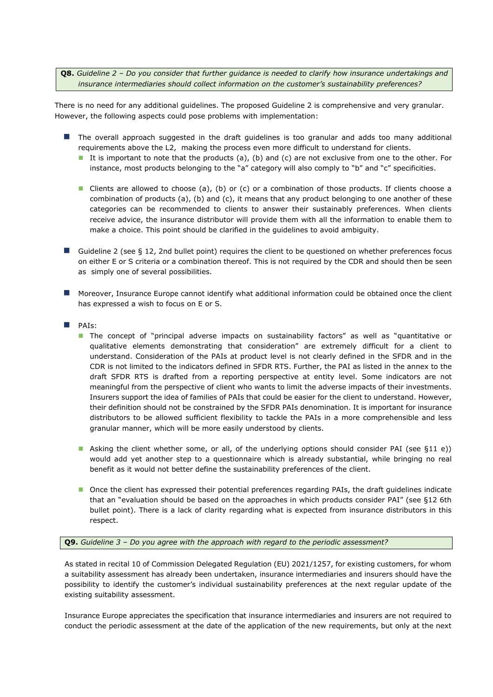**Q8.** *Guideline 2 – Do you consider that further guidance is needed to clarify how insurance undertakings and insurance intermediaries should collect information on the customer's sustainability preferences?*

There is no need for any additional guidelines. The proposed Guideline 2 is comprehensive and very granular. However, the following aspects could pose problems with implementation:

- The overall approach suggested in the draft guidelines is too granular and adds too many additional requirements above the L2, making the process even more difficult to understand for clients.
	- It is important to note that the products (a), (b) and (c) are not exclusive from one to the other. For instance, most products belonging to the "a" category will also comply to "b" and "c" specificities.
	- Clients are allowed to choose (a), (b) or (c) or a combination of those products. If clients choose a combination of products (a), (b) and (c), it means that any product belonging to one another of these categories can be recommended to clients to answer their sustainably preferences. When clients receive advice, the insurance distributor will provide them with all the information to enable them to make a choice. This point should be clarified in the guidelines to avoid ambiguity.
- Guideline 2 (see § 12, 2nd bullet point) requires the client to be questioned on whether preferences focus on either E or S criteria or a combination thereof. This is not required by the CDR and should then be seen as simply one of several possibilities.
- Moreover, Insurance Europe cannot identify what additional information could be obtained once the client has expressed a wish to focus on E or S.
- PAIs:
	- The concept of "principal adverse impacts on sustainability factors" as well as "quantitative or qualitative elements demonstrating that consideration" are extremely difficult for a client to understand. Consideration of the PAIs at product level is not clearly defined in the SFDR and in the CDR is not limited to the indicators defined in SFDR RTS. Further, the PAI as listed in the annex to the draft SFDR RTS is drafted from a reporting perspective at entity level. Some indicators are not meaningful from the perspective of client who wants to limit the adverse impacts of their investments. Insurers support the idea of families of PAIs that could be easier for the client to understand. However, their definition should not be constrained by the SFDR PAIs denomination. It is important for insurance distributors to be allowed sufficient flexibility to tackle the PAIs in a more comprehensible and less granular manner, which will be more easily understood by clients.
	- Asking the client whether some, or all, of the underlying options should consider PAI (see §11 e)) would add yet another step to a questionnaire which is already substantial, while bringing no real benefit as it would not better define the sustainability preferences of the client.
	- Once the client has expressed their potential preferences regarding PAIs, the draft guidelines indicate that an "evaluation should be based on the approaches in which products consider PAI" (see §12 6th bullet point). There is a lack of clarity regarding what is expected from insurance distributors in this respect.

**Q9.** *Guideline 3 – Do you agree with the approach with regard to the periodic assessment?*

As stated in recital 10 of Commission Delegated Regulation (EU) 2021/1257, for existing customers, for whom a suitability assessment has already been undertaken, insurance intermediaries and insurers should have the possibility to identify the customer's individual sustainability preferences at the next regular update of the existing suitability assessment.

Insurance Europe appreciates the specification that insurance intermediaries and insurers are not required to conduct the periodic assessment at the date of the application of the new requirements, but only at the next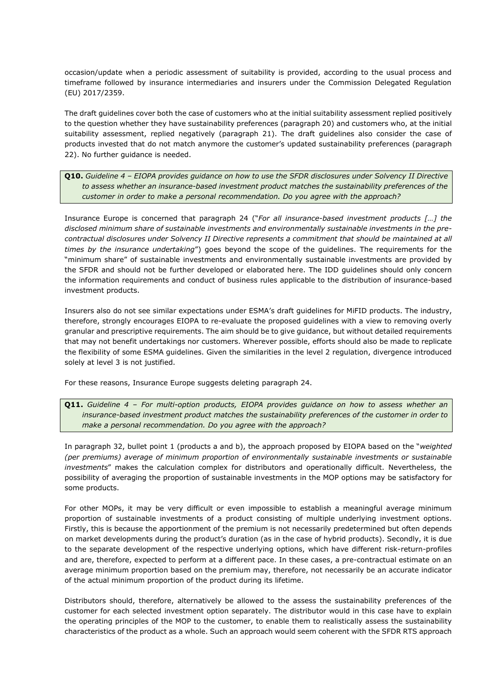occasion/update when a periodic assessment of suitability is provided, according to the usual process and timeframe followed by insurance intermediaries and insurers under the Commission Delegated Regulation (EU) 2017/2359.

The draft guidelines cover both the case of customers who at the initial suitability assessment replied positively to the question whether they have sustainability preferences (paragraph 20) and customers who, at the initial suitability assessment, replied negatively (paragraph 21). The draft guidelines also consider the case of products invested that do not match anymore the customer's updated sustainability preferences (paragraph 22). No further guidance is needed.

## **Q10.** *Guideline 4 – EIOPA provides guidance on how to use the SFDR disclosures under Solvency II Directive to assess whether an insurance-based investment product matches the sustainability preferences of the customer in order to make a personal recommendation. Do you agree with the approach?*

Insurance Europe is concerned that paragraph 24 ("*For all insurance-based investment products […] the disclosed minimum share of sustainable investments and environmentally sustainable investments in the precontractual disclosures under Solvency II Directive represents a commitment that should be maintained at all times by the insurance undertaking*") goes beyond the scope of the guidelines. The requirements for the "minimum share" of sustainable investments and environmentally sustainable investments are provided by the SFDR and should not be further developed or elaborated here. The IDD guidelines should only concern the information requirements and conduct of business rules applicable to the distribution of insurance-based investment products.

Insurers also do not see similar expectations under ESMA's draft guidelines for MiFID products. The industry, therefore, strongly encourages EIOPA to re-evaluate the proposed guidelines with a view to removing overly granular and prescriptive requirements. The aim should be to give guidance, but without detailed requirements that may not benefit undertakings nor customers. Wherever possible, efforts should also be made to replicate the flexibility of some ESMA guidelines. Given the similarities in the level 2 regulation, divergence introduced solely at level 3 is not justified.

For these reasons, Insurance Europe suggests deleting paragraph 24.

**Q11.** *Guideline 4 – For multi-option products, EIOPA provides guidance on how to assess whether an insurance-based investment product matches the sustainability preferences of the customer in order to make a personal recommendation. Do you agree with the approach?*

In paragraph 32, bullet point 1 (products a and b), the approach proposed by EIOPA based on the "*weighted (per premiums) average of minimum proportion of environmentally sustainable investments or sustainable investments*" makes the calculation complex for distributors and operationally difficult. Nevertheless, the possibility of averaging the proportion of sustainable investments in the MOP options may be satisfactory for some products.

For other MOPs, it may be very difficult or even impossible to establish a meaningful average minimum proportion of sustainable investments of a product consisting of multiple underlying investment options. Firstly, this is because the apportionment of the premium is not necessarily predetermined but often depends on market developments during the product's duration (as in the case of hybrid products). Secondly, it is due to the separate development of the respective underlying options, which have different risk-return-profiles and are, therefore, expected to perform at a different pace. In these cases, a pre-contractual estimate on an average minimum proportion based on the premium may, therefore, not necessarily be an accurate indicator of the actual minimum proportion of the product during its lifetime.

Distributors should, therefore, alternatively be allowed to the assess the sustainability preferences of the customer for each selected investment option separately. The distributor would in this case have to explain the operating principles of the MOP to the customer, to enable them to realistically assess the sustainability characteristics of the product as a whole. Such an approach would seem coherent with the SFDR RTS approach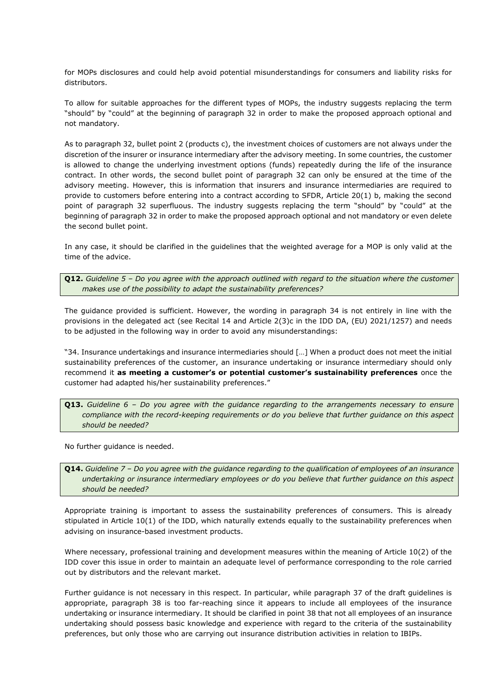for MOPs disclosures and could help avoid potential misunderstandings for consumers and liability risks for distributors.

To allow for suitable approaches for the different types of MOPs, the industry suggests replacing the term "should" by "could" at the beginning of paragraph 32 in order to make the proposed approach optional and not mandatory.

As to paragraph 32, bullet point 2 (products c), the investment choices of customers are not always under the discretion of the insurer or insurance intermediary after the advisory meeting. In some countries, the customer is allowed to change the underlying investment options (funds) repeatedly during the life of the insurance contract. In other words, the second bullet point of paragraph 32 can only be ensured at the time of the advisory meeting. However, this is information that insurers and insurance intermediaries are required to provide to customers before entering into a contract according to SFDR, Article 20(1) b, making the second point of paragraph 32 superfluous. The industry suggests replacing the term "should" by "could" at the beginning of paragraph 32 in order to make the proposed approach optional and not mandatory or even delete the second bullet point.

In any case, it should be clarified in the guidelines that the weighted average for a MOP is only valid at the time of the advice.

**Q12.** *Guideline 5 – Do you agree with the approach outlined with regard to the situation where the customer makes use of the possibility to adapt the sustainability preferences?*

The guidance provided is sufficient. However, the wording in paragraph 34 is not entirely in line with the provisions in the delegated act (see Recital 14 and Article 2(3)c in the IDD DA, (EU) 2021/1257) and needs to be adjusted in the following way in order to avoid any misunderstandings:

"34. Insurance undertakings and insurance intermediaries should […] When a product does not meet the initial sustainability preferences of the customer, an insurance undertaking or insurance intermediary should only recommend it **as meeting a customer's or potential customer's sustainability preferences** once the customer had adapted his/her sustainability preferences."

**Q13.** *Guideline 6 – Do you agree with the guidance regarding to the arrangements necessary to ensure compliance with the record-keeping requirements or do you believe that further guidance on this aspect should be needed?*

No further guidance is needed.

**Q14.** *Guideline 7 – Do you agree with the guidance regarding to the qualification of employees of an insurance undertaking or insurance intermediary employees or do you believe that further guidance on this aspect should be needed?*

Appropriate training is important to assess the sustainability preferences of consumers. This is already stipulated in Article 10(1) of the IDD, which naturally extends equally to the sustainability preferences when advising on insurance-based investment products.

Where necessary, professional training and development measures within the meaning of Article 10(2) of the IDD cover this issue in order to maintain an adequate level of performance corresponding to the role carried out by distributors and the relevant market.

Further guidance is not necessary in this respect. In particular, while paragraph 37 of the draft guidelines is appropriate, paragraph 38 is too far-reaching since it appears to include all employees of the insurance undertaking or insurance intermediary. It should be clarified in point 38 that not all employees of an insurance undertaking should possess basic knowledge and experience with regard to the criteria of the sustainability preferences, but only those who are carrying out insurance distribution activities in relation to IBIPs.